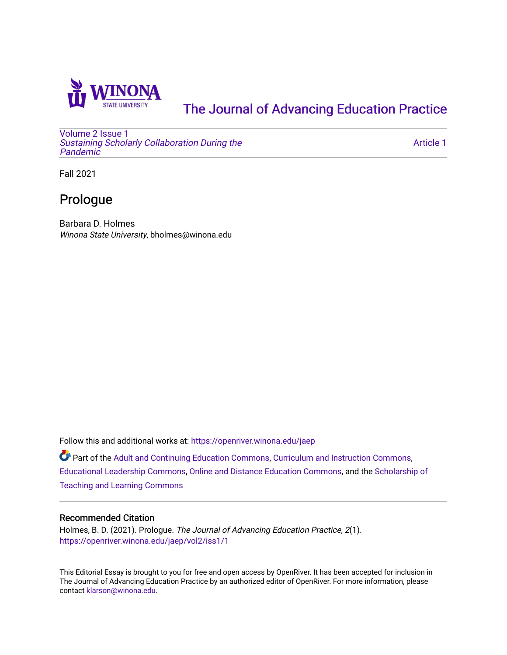

## [The Journal of Advancing Education Practice](https://openriver.winona.edu/jaep)

[Volume 2](https://openriver.winona.edu/jaep/vol2) [Issue 1](https://openriver.winona.edu/jaep/vol2/iss1)  [Sustaining Scholarly Collaboration During the](https://openriver.winona.edu/jaep/vol2/iss1)  [Pandemic](https://openriver.winona.edu/jaep/vol2/iss1) 

[Article 1](https://openriver.winona.edu/jaep/vol2/iss1/1) 

Fall 2021

## Prologue

Barbara D. Holmes Winona State University, bholmes@winona.edu

Follow this and additional works at: [https://openriver.winona.edu/jaep](https://openriver.winona.edu/jaep?utm_source=openriver.winona.edu%2Fjaep%2Fvol2%2Fiss1%2F1&utm_medium=PDF&utm_campaign=PDFCoverPages) 

Part of the [Adult and Continuing Education Commons,](http://network.bepress.com/hgg/discipline/1375?utm_source=openriver.winona.edu%2Fjaep%2Fvol2%2Fiss1%2F1&utm_medium=PDF&utm_campaign=PDFCoverPages) [Curriculum and Instruction Commons,](http://network.bepress.com/hgg/discipline/786?utm_source=openriver.winona.edu%2Fjaep%2Fvol2%2Fiss1%2F1&utm_medium=PDF&utm_campaign=PDFCoverPages) [Educational Leadership Commons](http://network.bepress.com/hgg/discipline/1230?utm_source=openriver.winona.edu%2Fjaep%2Fvol2%2Fiss1%2F1&utm_medium=PDF&utm_campaign=PDFCoverPages), [Online and Distance Education Commons,](http://network.bepress.com/hgg/discipline/1296?utm_source=openriver.winona.edu%2Fjaep%2Fvol2%2Fiss1%2F1&utm_medium=PDF&utm_campaign=PDFCoverPages) and the [Scholarship of](http://network.bepress.com/hgg/discipline/1328?utm_source=openriver.winona.edu%2Fjaep%2Fvol2%2Fiss1%2F1&utm_medium=PDF&utm_campaign=PDFCoverPages)  [Teaching and Learning Commons](http://network.bepress.com/hgg/discipline/1328?utm_source=openriver.winona.edu%2Fjaep%2Fvol2%2Fiss1%2F1&utm_medium=PDF&utm_campaign=PDFCoverPages)

## Recommended Citation

Holmes, B. D. (2021). Prologue. The Journal of Advancing Education Practice, 2(1). [https://openriver.winona.edu/jaep/vol2/iss1/1](https://openriver.winona.edu/jaep/vol2/iss1/1?utm_source=openriver.winona.edu%2Fjaep%2Fvol2%2Fiss1%2F1&utm_medium=PDF&utm_campaign=PDFCoverPages) 

This Editorial Essay is brought to you for free and open access by OpenRiver. It has been accepted for inclusion in The Journal of Advancing Education Practice by an authorized editor of OpenRiver. For more information, please contact [klarson@winona.edu](mailto:klarson@winona.edu).